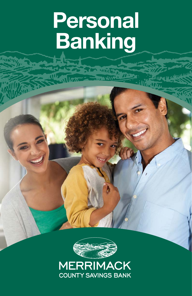# **Personal Banking**

TEA MORT **THE WIFE** 



**MERRIMACK COUNTY SAVINGS BANK**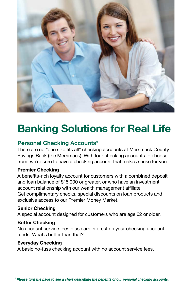

# **Banking Solutions for Real Life**

#### **Personal Checking Accounts\***

There are no "one size fits all" checking accounts at Merrimack County Savings Bank (the Merrimack). With four checking accounts to choose from, we're sure to have a checking account that makes sense for you.

#### **Premier Checking**

A benefits-rich loyalty account for customers with a combined deposit and loan balance of \$15,000 or greater, or who have an investment account relationship with our wealth management affiliate. Get complimentary checks, special discounts on loan products and exclusive access to our Premier Money Market.

#### **Senior Checking**

A special account designed for customers who are age 62 or older.

#### **Better Checking**

No account service fees plus earn interest on your checking account funds. What's better than that?

#### **Everyday Checking**

A basic no-fuss checking account with no account service fees.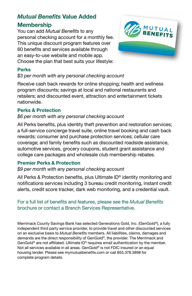### *Mutual Benefits* **Value Added Membership**

You can add *Mutual Benefits* to any personal checking account for a monthly fee. This unique discount program features over 60 benefits and services available through an easy-to-use website and mobile app. Choose the plan that best suits your lifestyle:



#### **Perks**

#### *\$3 per month with any personal checking account*

Receive cash back rewards for online shopping; health and wellness program discounts; savings at local and national restaurants and retailers; and discounted event, attraction and entertainment tickets nationwide.

#### **Perks & Protection**

#### *\$6 per month with any personal checking account*

All Perks benefits, plus identity theft prevention and restoration services; a full-service concierge travel suite, online travel booking and cash back rewards; consumer and purchase protection services; cellular care coverage; and family benefits such as discounted roadside assistance, automotive services, grocery coupons, student grant assistance and college care packages and wholesale club membership rebates.

#### **Premier Perks & Protection**

#### *\$9 per month with any personal checking account*

All Perks & Protection benefits, plus Ultimate ID® identity monitoring and notifications services including 3 bureau credit monitoring, instant credit alerts, credit score tracker, dark web monitoring, and a credential vault.

#### For a full list of benefits and features, please see the *Mutual Benefits* brochure or contact a Branch Services Representative.

Merrimack County Savings Bank has selected Generations Gold, Inc. (GenGold®), a fully independent third party service provider, to provide travel and other discounted services on an exclusive basis to *Mutual Benefits* members. All liabilities, claims, damages and demands are the direct responsibility of GenGold®, the provider. The Merrimack and GenGold<sup>®</sup> are not affiliated. Ultimate  $ID<sup>®</sup>$  requires email authentication by the member. Not all services available in all areas. GenGold® is not FDIC insured or an equal housing lender. Please see mymutualbenefits.com or call 855.378.3898 for complete program details.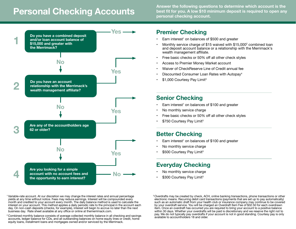# **Personal Checking Accounts**

**Answer the following questions to determine which account is the best fit for you. A low \$10 minimum deposit is required to open any personal checking account.**



1 Variable-rate account. At our discretion we may change the interest rates and annual percentage yields at any time without notice. Fees may reduce earnings. Interest will be compounded every month and credited to your account every month. The daily balance method is used to calculate the interest on your account. This method applies a daily periodic rate to the principal in the account each day. On non-cash deposits (checks, for example), interest will begin to accrue no later than the next business day. Rate sheet available at any office or online at themerrimack.com.

<sup>2</sup> Combined monthly balance consists of average collected monthly balance in all checking and savings accounts, ledger balance for CDs, and all outstanding balances on home equity lines or credit, home equity loans, installment loans and mortgages owned and/or serviced by the Merrimack.

# **Premier Checking**

- $\cdot$  Earn interest<sup>1</sup> on balances of \$500 and greater
- Monthly service charge of \$15 waived with  $$15,000^2$  combined loan and deposit account balance or a relationship with the Merrimack's wealth management affiliate.
- Free basic checks or 50% off all other check styles
- Access to Premier Money Market account
- Waiver of CheckReserve Line of Credit annual fee
- Discounted Consumer Loan Rates with Autopay<sup>4</sup>
- \$1,000 Courtesy Pay Limit<sup>3</sup>

## **Senior Checking**

- Earn interest<sup>1</sup> on balances of \$100 and greater
- No monthly service charge
- Free basic checks or 50% off all other check styles
- \$750 Courtesy Pay Limit<sup>3</sup>

# **Better Checking**

- $\cdot$  Earn interest<sup>1</sup> on balances of \$100 and greater
- No monthly service charge
- \$500 Courtesy Pay Limit<sup>3</sup>

# **Everyday Checking**

- No monthly service charge
- \$300 Courtesy Pay Limit<sup>3</sup>

<sup>3</sup> Overdrafts may be created by check, ACH, online banking transactions, phone transactions or other electronic means. Recurring debit card transactions (payments that are set up to pay automatically) such as an automatic draft from your health club or insurance company may continue to be covered by your overdraft service. You will be charged an Overdraft Item Fee of \$32.50 for each overdrawn item. Once an overdraft has occurred you are required to bring your account to a positive balance within 30 days. Whether your overdrafts will be paid is discretionary and we reserve the right not to pay. We do not typically pay overdrafts if your account is not in good standing. Courtesy pay is only available to accountholders 18 and older.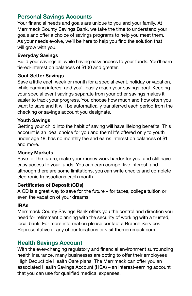#### **Personal Savings Accounts**

Your financial needs and goals are unique to you and your family. At Merrimack County Savings Bank, we take the time to understand your goals and offer a choice of savings programs to help you meet them. As your needs evolve, we'll be here to help you find the solution that will grow with you.

#### **Everyday Savings**

Build your savings all while having easy access to your funds. You'll earn tiered-interest on balances of \$100 and greater.

#### **Goal-Setter Savings**

Save a little each week or month for a special event, holiday or vacation, while earning interest and you'll easily reach your savings goal. Keeping your special event savings separate from your other savings makes it easier to track your progress. You choose how much and how often you want to save and it will be automatically transferred each period from the checking or savings account you designate.

#### **Youth Savings**

Getting your child into the habit of saving will have lifelong benefits. This account is an ideal choice for you and them! It's offered only to youth under age 18, has no monthly fee and earns interest on balances of \$1 and more.

#### **Money Markets**

Save for the future, make your money work harder for you, and still have easy access to your funds. You can earn competitive interest, and although there are some limitations, you can write checks and complete electronic transactions each month.

#### **Certificates of Deposit (CDs)**

A CD is a great way to save for the future – for taxes, college tuition or even the vacation of your dreams.

#### **IRAs**

Merrimack County Savings Bank offers you the control and direction you need for retirement planning with the security of working with a trusted, local bank. For more information please contact a Branch Services Representative at any of our locations or visit themerrimack.com.

#### **Health Savings Account**

With the ever-changing regulatory and financial environment surrounding health insurance, many businesses are opting to offer their employees High Deductible Health Care plans. The Merrimack can offer you an associated Health Savings Account (HSA) – an interest-earning account that you can use for qualified medical expenses.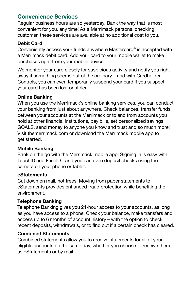#### **Convenience Services**

Regular business hours are so yesterday. Bank the way that is most convenient for you, any time! As a Merrimack personal checking customer, these services are available at no additional cost to you.

#### **Debit Card**

Conveniently access your funds anywhere Mastercard® is accepted with a Merrimack debit card. Add your card to your mobile wallet to make purchases right from your mobile device.

We monitor your card closely for suspicious activity and notify you right away if something seems out of the ordinary – and with Cardholder Controls, you can even temporarily suspend your card if you suspect your card has been lost or stolen.

#### **Online Banking**

When you use the Merrimack's online banking services, you can conduct your banking from just about anywhere. Check balances, transfer funds between your accounts at the Merrimack or to and from accounts you hold at other financial institutions, pay bills, set personalized savings GOALS, send money to anyone you know and trust and so much more! Visit themerrimack.com or download the Merrimack mobile app to get started.

#### **Mobile Banking**

Bank on the go with the Merrimack mobile app. Signing in is easy with TouchID and FaceID - and you can even deposit checks using the camera on your phone or tablet.

#### **eStatements**

Cut down on mail, not trees! Moving from paper statements to eStatements provides enhanced fraud protection while benefiting the environment.

#### **Telephone Banking**

Telephone Banking gives you 24-hour access to your accounts, as long as you have access to a phone. Check your balance, make transfers and access up to 6 months of account history – with the option to check recent deposits, withdrawals, or to find out if a certain check has cleared.

#### **Combined Statements**

Combined statements allow you to receive statements for all of your eligible accounts on the same day, whether you choose to receive them as eStatements or by mail.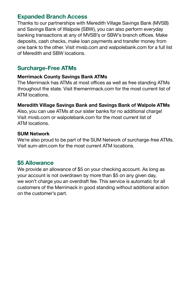#### **Expanded Branch Access**

Thanks to our partnerships with Meredith Village Savings Bank (MVSB) and Savings Bank of Walpole (SBW), you can also perform everyday banking transactions at any of MVSB's or SBW's branch offices. Make deposits, cash checks, make loan payments and transfer money from one bank to the other. Visit mvsb.com and walpolebank.com for a full list of Meredith and SBW locations.

#### **Surcharge-Free ATMs**

#### **Merrimack County Savings Bank ATMs**

The Merrimack has ATMs at most offices as well as free standing ATMs throughout the state. Visit themerrimack.com for the most current list of ATM locations.

#### **Meredith Village Savings Bank and Savings Bank of Walpole ATMs**

Also, you can use ATMs at our sister banks for no additional charge! Visit mvsb.com or walpolebank.com for the most current list of ATM locations.

#### **SUM Network**

We're also proud to be part of the SUM Network of surcharge-free ATMs. Visit sum-atm.com for the most current ATM locations.

#### **\$5 Allowance**

We provide an allowance of \$5 on your checking account. As long as your account is not overdrawn by more than \$5 on any given day, we won't charge you an overdraft fee. This service is automatic for all customers of the Merrimack in good standing without additional action on the customer's part.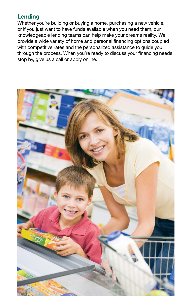#### **Lending**

Whether you're building or buying a home, purchasing a new vehicle, or if you just want to have funds available when you need them, our knowledgeable lending teams can help make your dreams reality. We provide a wide variety of home and personal financing options coupled with competitive rates and the personalized assistance to guide you through the process. When you're ready to discuss your financing needs, stop by, give us a call or apply online.

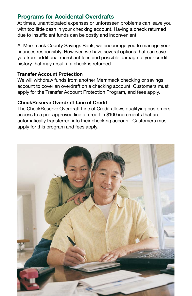#### **Programs for Accidental Overdrafts**

At times, unanticipated expenses or unforeseen problems can leave you with too little cash in your checking account. Having a check returned due to insufficient funds can be costly and inconvenient.

At Merrimack County Savings Bank, we encourage you to manage your finances responsibly. However, we have several options that can save you from additional merchant fees and possible damage to your credit history that may result if a check is returned.

#### **Transfer Account Protection**

We will withdraw funds from another Merrimack checking or savings account to cover an overdraft on a checking account. Customers must apply for the Transfer Account Protection Program, and fees apply.

#### **CheckReserve Overdraft Line of Credit**

The CheckReserve Overdraft Line of Credit allows qualifying customers access to a pre-approved line of credit in \$100 increments that are automatically transferred into their checking account. Customers must apply for this program and fees apply.

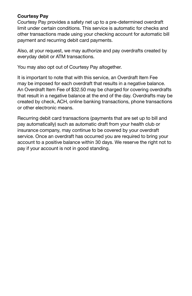#### **Courtesy Pay**

Courtesy Pay provides a safety net up to a pre-determined overdraft limit under certain conditions. This service is automatic for checks and other transactions made using your checking account for automatic bill payment and recurring debit card payments.

Also, at your request, we may authorize and pay overdrafts created by everyday debit or ATM transactions.

You may also opt out of Courtesy Pay altogether.

It is important to note that with this service, an Overdraft Item Fee may be imposed for each overdraft that results in a negative balance. An Overdraft Item Fee of \$32.50 may be charged for covering overdrafts that result in a negative balance at the end of the day. Overdrafts may be created by check, ACH, online banking transactions, phone transactions or other electronic means.

Recurring debit card transactions (payments that are set up to bill and pay automatically) such as automatic draft from your health club or insurance company, may continue to be covered by your overdraft service. Once an overdraft has occurred you are required to bring your account to a positive balance within 30 days. We reserve the right not to pay if your account is not in good standing.